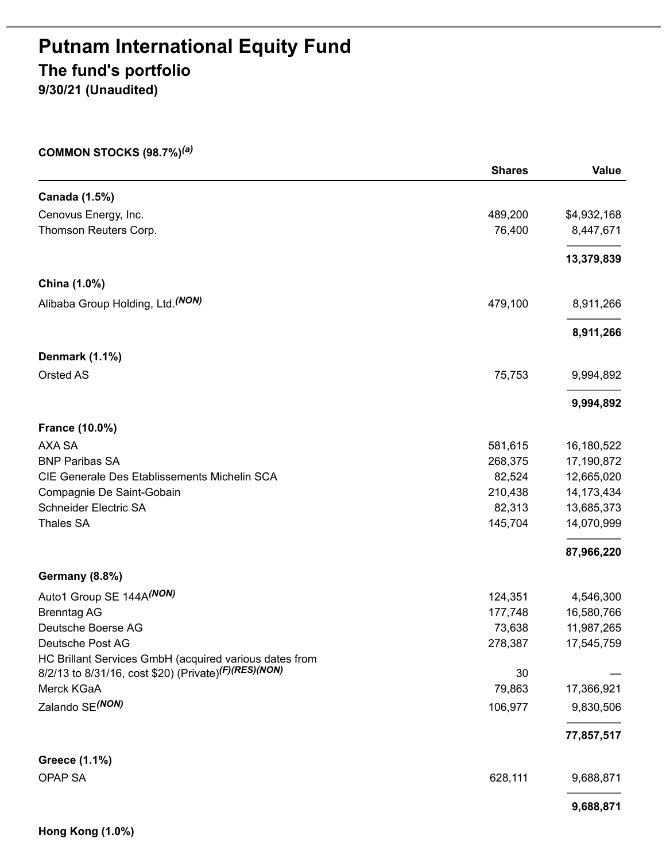# **Putnam International Equity Fund The fund's portfolio**

**9/30/21 (Unaudited)**

#### **COMMON STOCKS (98.7%)** *(a)*

|                                                        | <b>Shares</b> | Value       |
|--------------------------------------------------------|---------------|-------------|
| Canada (1.5%)                                          |               |             |
| Cenovus Energy, Inc.                                   | 489,200       | \$4,932,168 |
| Thomson Reuters Corp.                                  | 76,400        | 8,447,671   |
|                                                        |               | 13,379,839  |
| China (1.0%)                                           |               |             |
| Alibaba Group Holding, Ltd. (NON)                      | 479,100       | 8,911,266   |
|                                                        |               | 8,911,266   |
| Denmark (1.1%)                                         |               |             |
| Orsted AS                                              | 75,753        | 9,994,892   |
|                                                        |               | 9,994,892   |
| <b>France (10.0%)</b>                                  |               |             |
| AXA SA                                                 | 581,615       | 16,180,522  |
| <b>BNP Paribas SA</b>                                  | 268,375       | 17,190,872  |
| CIE Generale Des Etablissements Michelin SCA           | 82,524        | 12,665,020  |
| Compagnie De Saint-Gobain                              | 210,438       | 14,173,434  |
| Schneider Electric SA                                  | 82,313        | 13,685,373  |
| <b>Thales SA</b>                                       | 145,704       | 14,070,999  |
|                                                        |               | 87,966,220  |
| Germany (8.8%)                                         |               |             |
| Auto1 Group SE 144A (NON)                              | 124,351       | 4,546,300   |
| <b>Brenntag AG</b>                                     | 177,748       | 16,580,766  |
| Deutsche Boerse AG                                     | 73,638        | 11,987,265  |
| Deutsche Post AG                                       | 278,387       | 17,545,759  |
| HC Brillant Services GmbH (acquired various dates from |               |             |
| 8/2/13 to 8/31/16, cost \$20) (Private)(F)(RES)(NON)   | 30            |             |
| Merck KGaA                                             | 79,863        | 17,366,921  |
| Zalando SE(NON)                                        | 106,977       | 9,830,506   |
|                                                        |               | 77,857,517  |
| Greece (1.1%)                                          |               |             |
| OPAP SA                                                | 628,111       | 9,688,871   |
|                                                        |               | 9,688,871   |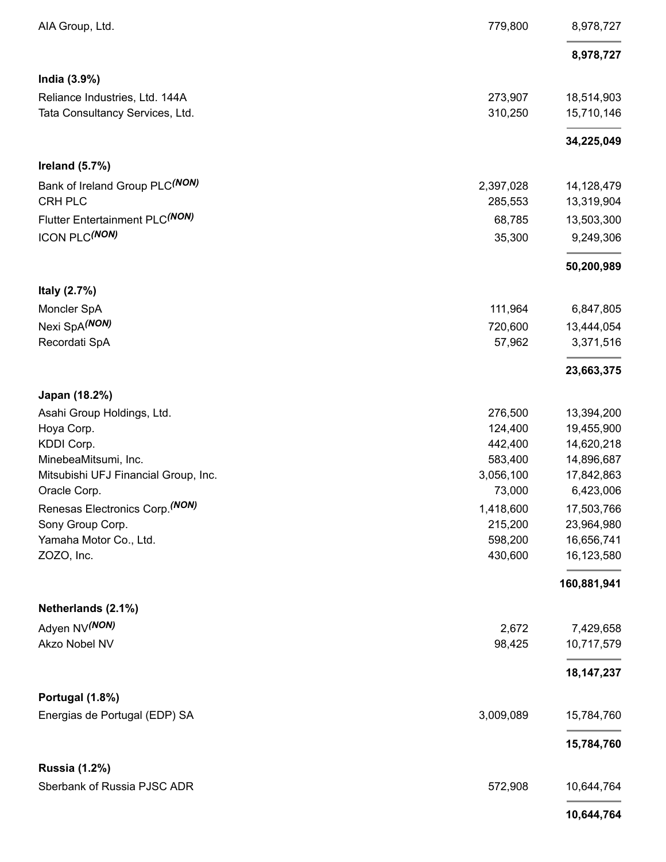| AIA Group, Ltd.                      | 779,800   | 8,978,727    |
|--------------------------------------|-----------|--------------|
|                                      |           | 8,978,727    |
| India (3.9%)                         |           |              |
| Reliance Industries, Ltd. 144A       | 273,907   | 18,514,903   |
| Tata Consultancy Services, Ltd.      | 310,250   | 15,710,146   |
|                                      |           | 34,225,049   |
| Ireland $(5.7%)$                     |           |              |
| Bank of Ireland Group PLC(NON)       | 2,397,028 | 14,128,479   |
| <b>CRH PLC</b>                       | 285,553   | 13,319,904   |
| Flutter Entertainment PLC(NON)       | 68,785    | 13,503,300   |
| ICON PLC(NON)                        | 35,300    | 9,249,306    |
|                                      |           | 50,200,989   |
| Italy (2.7%)                         |           |              |
| Moncler SpA                          | 111,964   | 6,847,805    |
| Nexi SpA(NON)                        | 720,600   | 13,444,054   |
| Recordati SpA                        | 57,962    | 3,371,516    |
|                                      |           | 23,663,375   |
| Japan (18.2%)                        |           |              |
| Asahi Group Holdings, Ltd.           | 276,500   | 13,394,200   |
| Hoya Corp.                           | 124,400   | 19,455,900   |
| KDDI Corp.                           | 442,400   | 14,620,218   |
| MinebeaMitsumi, Inc.                 | 583,400   | 14,896,687   |
| Mitsubishi UFJ Financial Group, Inc. | 3,056,100 | 17,842,863   |
| Oracle Corp.                         | 73,000    | 6,423,006    |
| Renesas Electronics Corp. (NON)      | 1,418,600 | 17,503,766   |
| Sony Group Corp.                     | 215,200   | 23,964,980   |
| Yamaha Motor Co., Ltd.               | 598,200   | 16,656,741   |
| ZOZO, Inc.                           | 430,600   | 16,123,580   |
|                                      |           | 160,881,941  |
| Netherlands (2.1%)                   |           |              |
| Adyen NV <sup>(NON)</sup>            | 2,672     | 7,429,658    |
| Akzo Nobel NV                        | 98,425    | 10,717,579   |
|                                      |           | 18, 147, 237 |
| Portugal (1.8%)                      |           |              |
| Energias de Portugal (EDP) SA        | 3,009,089 | 15,784,760   |
|                                      |           | 15,784,760   |
| <b>Russia (1.2%)</b>                 |           |              |
| Sberbank of Russia PJSC ADR          | 572,908   | 10,644,764   |
|                                      |           |              |

**10,644,764**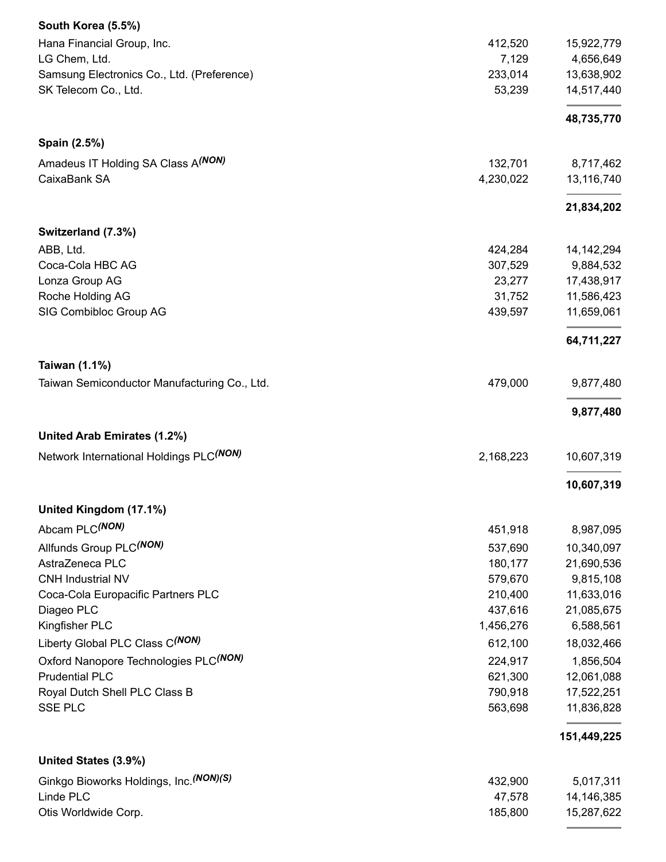| South Korea (5.5%)                             |           |              |
|------------------------------------------------|-----------|--------------|
| Hana Financial Group, Inc.                     | 412,520   | 15,922,779   |
| LG Chem, Ltd.                                  | 7,129     | 4,656,649    |
| Samsung Electronics Co., Ltd. (Preference)     | 233,014   | 13,638,902   |
| SK Telecom Co., Ltd.                           | 53,239    | 14,517,440   |
|                                                |           | 48,735,770   |
| Spain (2.5%)                                   |           |              |
| Amadeus IT Holding SA Class A <sup>(NON)</sup> | 132,701   | 8,717,462    |
| CaixaBank SA                                   | 4,230,022 | 13,116,740   |
|                                                |           | 21,834,202   |
| Switzerland (7.3%)                             |           |              |
| ABB, Ltd.                                      | 424,284   | 14, 142, 294 |
| Coca-Cola HBC AG                               | 307,529   | 9,884,532    |
| Lonza Group AG                                 | 23,277    | 17,438,917   |
| Roche Holding AG                               | 31,752    | 11,586,423   |
| SIG Combibloc Group AG                         | 439,597   | 11,659,061   |
|                                                |           | 64,711,227   |
| <b>Taiwan (1.1%)</b>                           |           |              |
| Taiwan Semiconductor Manufacturing Co., Ltd.   | 479,000   | 9,877,480    |
|                                                |           | 9,877,480    |
| United Arab Emirates (1.2%)                    |           |              |
| Network International Holdings PLC(NON)        | 2,168,223 | 10,607,319   |
|                                                |           | 10,607,319   |
| United Kingdom (17.1%)                         |           |              |
| Abcam PLC(NON)                                 | 451,918   | 8,987,095    |
| Allfunds Group PLC(NON)                        | 537,690   | 10,340,097   |
| AstraZeneca PLC                                | 180,177   | 21,690,536   |
| <b>CNH Industrial NV</b>                       | 579,670   | 9,815,108    |
| Coca-Cola Europacific Partners PLC             | 210,400   | 11,633,016   |
| Diageo PLC                                     | 437,616   | 21,085,675   |
| Kingfisher PLC                                 | 1,456,276 | 6,588,561    |
| Liberty Global PLC Class C(NON)                | 612,100   | 18,032,466   |
| Oxford Nanopore Technologies PLC(NON)          | 224,917   | 1,856,504    |
| <b>Prudential PLC</b>                          | 621,300   | 12,061,088   |
| Royal Dutch Shell PLC Class B                  | 790,918   | 17,522,251   |
| SSE PLC                                        | 563,698   | 11,836,828   |
|                                                |           | 151,449,225  |
| United States (3.9%)                           |           |              |
| Ginkgo Bioworks Holdings, Inc. (NON)(S)        | 432,900   | 5,017,311    |
| Linde PLC                                      | 47,578    | 14,146,385   |
| Otis Worldwide Corp.                           | 185,800   | 15,287,622   |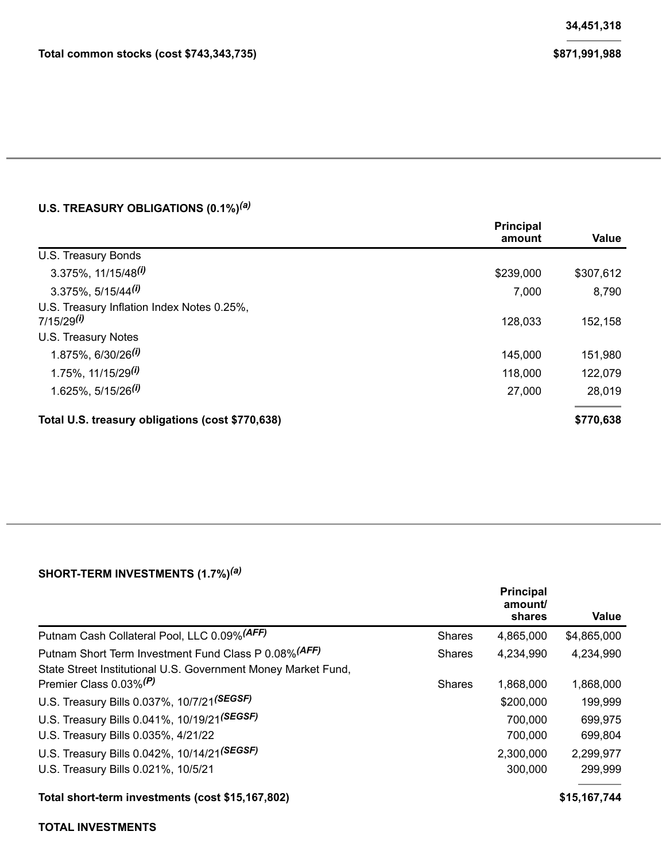#### **U.S. TREASURY OBLIGATIONS (0.1%)** *(a)*

|                                                  | <b>Principal</b><br>amount | <b>Value</b> |
|--------------------------------------------------|----------------------------|--------------|
| U.S. Treasury Bonds                              |                            |              |
| $3.375\%$ , 11/15/48 <sup>(i)</sup>              | \$239,000                  | \$307,612    |
| $3.375\%$ , 5/15/44 <sup>(i)</sup>               | 7,000                      | 8,790        |
| U.S. Treasury Inflation Index Notes 0.25%,       |                            |              |
| $7/15/29^{(i)}$                                  | 128,033                    | 152,158      |
| U.S. Treasury Notes                              |                            |              |
| $1.875\%$ , 6/30/26 <sup>(i)</sup>               | 145,000                    | 151,980      |
| 1.75%, $11/15/29^{(i)}$                          | 118,000                    | 122,079      |
| $1.625\%$ , 5/15/26 <sup>(i)</sup>               | 27,000                     | 28,019       |
| Total U.S. treasury obligations (cost \$770,638) |                            | \$770,638    |

#### **SHORT-TERM INVESTMENTS (1.7%)** *(a)*

|                                                                                                     |               | <b>Principal</b><br>amount/<br>shares | Value        |
|-----------------------------------------------------------------------------------------------------|---------------|---------------------------------------|--------------|
| Putnam Cash Collateral Pool, LLC 0.09% (AFF)                                                        | <b>Shares</b> | 4,865,000                             | \$4,865,000  |
| Putnam Short Term Investment Fund Class P 0.08% (AFF)                                               | <b>Shares</b> | 4,234,990                             | 4,234,990    |
| State Street Institutional U.S. Government Money Market Fund,<br>Premier Class 0.03% <sup>(P)</sup> | <b>Shares</b> | 1,868,000                             | 1,868,000    |
| U.S. Treasury Bills 0.037%, 10/7/21(SEGSF)                                                          |               | \$200,000                             | 199,999      |
| U.S. Treasury Bills 0.041%, 10/19/21(SEGSF)                                                         |               | 700,000                               | 699,975      |
| U.S. Treasury Bills 0.035%, 4/21/22                                                                 |               | 700,000                               | 699,804      |
| U.S. Treasury Bills 0.042%, 10/14/21(SEGSF)                                                         |               | 2,300,000                             | 2,299,977    |
| U.S. Treasury Bills 0.021%, 10/5/21                                                                 |               | 300,000                               | 299,999      |
| Total short-term investments (cost \$15,167,802)                                                    |               |                                       | \$15,167,744 |

#### **TOTAL INVESTMENTS**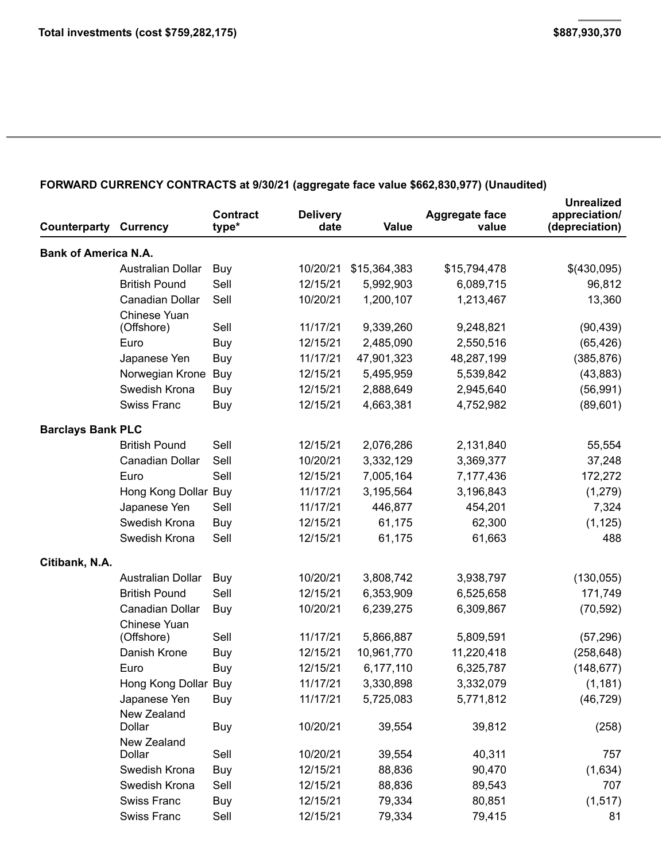### **FORWARD CURRENCY CONTRACTS at 9/30/21 (aggregate face value \$662,830,977) (Unaudited)**

| Counterparty                | <b>Currency</b>                  | <b>Contract</b><br>type* | <b>Delivery</b><br>date | <b>Value</b> | <b>Aggregate face</b><br>value | <b>Unrealized</b><br>appreciation/<br>(depreciation) |
|-----------------------------|----------------------------------|--------------------------|-------------------------|--------------|--------------------------------|------------------------------------------------------|
| <b>Bank of America N.A.</b> |                                  |                          |                         |              |                                |                                                      |
|                             | <b>Australian Dollar</b>         | Buy                      | 10/20/21                | \$15,364,383 | \$15,794,478                   | \$(430,095)                                          |
|                             | <b>British Pound</b>             | Sell                     | 12/15/21                | 5,992,903    | 6,089,715                      | 96,812                                               |
|                             | Canadian Dollar                  | Sell                     | 10/20/21                | 1,200,107    | 1,213,467                      | 13,360                                               |
|                             | Chinese Yuan                     | Sell                     | 11/17/21                | 9,339,260    | 9,248,821                      |                                                      |
|                             | (Offshore)<br>Euro               |                          | 12/15/21                | 2,485,090    | 2,550,516                      | (90, 439)                                            |
|                             | Japanese Yen                     | Buy                      | 11/17/21                |              |                                | (65, 426)                                            |
|                             |                                  | Buy                      | 12/15/21                | 47,901,323   | 48,287,199                     | (385, 876)                                           |
|                             | Norwegian Krone<br>Swedish Krona | Buy                      |                         | 5,495,959    | 5,539,842                      | (43, 883)                                            |
|                             |                                  | Buy                      | 12/15/21                | 2,888,649    | 2,945,640                      | (56, 991)                                            |
|                             | <b>Swiss Franc</b>               | Buy                      | 12/15/21                | 4,663,381    | 4,752,982                      | (89, 601)                                            |
| <b>Barclays Bank PLC</b>    |                                  |                          |                         |              |                                |                                                      |
|                             | <b>British Pound</b>             | Sell                     | 12/15/21                | 2,076,286    | 2,131,840                      | 55,554                                               |
|                             | <b>Canadian Dollar</b>           | Sell                     | 10/20/21                | 3,332,129    | 3,369,377                      | 37,248                                               |
|                             | Euro                             | Sell                     | 12/15/21                | 7,005,164    | 7,177,436                      | 172,272                                              |
|                             | Hong Kong Dollar Buy             |                          | 11/17/21                | 3,195,564    | 3,196,843                      | (1, 279)                                             |
|                             | Japanese Yen                     | Sell                     | 11/17/21                | 446,877      | 454,201                        | 7,324                                                |
|                             | Swedish Krona                    | Buy                      | 12/15/21                | 61,175       | 62,300                         | (1, 125)                                             |
|                             | Swedish Krona                    | Sell                     | 12/15/21                | 61,175       | 61,663                         | 488                                                  |
| Citibank, N.A.              |                                  |                          |                         |              |                                |                                                      |
|                             | <b>Australian Dollar</b>         | Buy                      | 10/20/21                | 3,808,742    | 3,938,797                      | (130, 055)                                           |
|                             | <b>British Pound</b>             | Sell                     | 12/15/21                | 6,353,909    | 6,525,658                      | 171,749                                              |
|                             | Canadian Dollar                  | Buy                      | 10/20/21                | 6,239,275    | 6,309,867                      | (70, 592)                                            |
|                             | Chinese Yuan                     |                          |                         |              |                                |                                                      |
|                             | (Offshore)                       | Sell                     | 11/17/21                | 5,866,887    | 5,809,591                      | (57, 296)                                            |
|                             | Danish Krone                     | Buy                      | 12/15/21                | 10,961,770   | 11,220,418                     | (258, 648)                                           |
|                             | Euro                             | Buy                      | 12/15/21                | 6,177,110    | 6,325,787                      | (148, 677)                                           |
|                             | Hong Kong Dollar Buy             |                          | 11/17/21                | 3,330,898    | 3,332,079                      | (1, 181)                                             |
|                             | Japanese Yen                     | Buy                      | 11/17/21                | 5,725,083    | 5,771,812                      | (46, 729)                                            |
|                             | New Zealand<br>Dollar            | Buy                      | 10/20/21                | 39,554       | 39,812                         | (258)                                                |
|                             | New Zealand                      |                          |                         |              |                                |                                                      |
|                             | Dollar                           | Sell                     | 10/20/21                | 39,554       | 40,311                         | 757                                                  |
|                             | Swedish Krona                    | Buy                      | 12/15/21                | 88,836       | 90,470                         | (1,634)                                              |
|                             | Swedish Krona                    | Sell                     | 12/15/21                | 88,836       | 89,543                         | 707                                                  |
|                             | <b>Swiss Franc</b>               | Buy                      | 12/15/21                | 79,334       | 80,851                         | (1, 517)                                             |
|                             | Swiss Franc                      | Sell                     | 12/15/21                | 79,334       | 79,415                         | 81                                                   |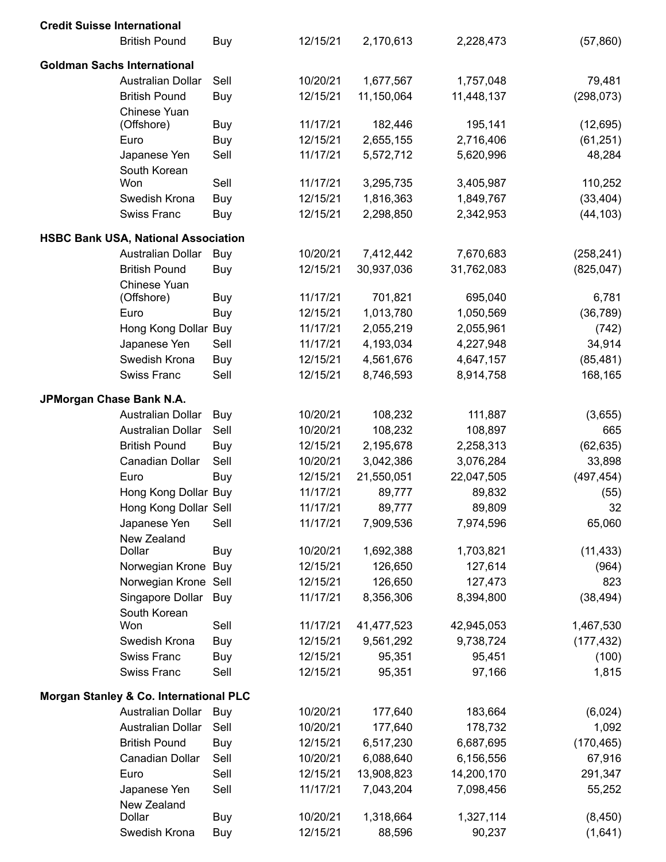| <b>Credit Suisse International</b> |                                                             |              |                      |                         |                         |                      |
|------------------------------------|-------------------------------------------------------------|--------------|----------------------|-------------------------|-------------------------|----------------------|
|                                    | <b>British Pound</b>                                        | Buy          | 12/15/21             | 2,170,613               | 2,228,473               | (57, 860)            |
|                                    | <b>Goldman Sachs International</b>                          |              |                      |                         |                         |                      |
|                                    | Australian Dollar                                           | Sell         | 10/20/21             | 1,677,567               | 1,757,048               | 79,481               |
|                                    | <b>British Pound</b>                                        | Buy          | 12/15/21             | 11,150,064              | 11,448,137              | (298, 073)           |
|                                    | Chinese Yuan                                                |              |                      |                         |                         |                      |
|                                    | (Offshore)                                                  | Buy          | 11/17/21             | 182,446                 | 195,141                 | (12, 695)            |
|                                    | Euro                                                        | Buy          | 12/15/21             | 2,655,155               | 2,716,406               | (61, 251)            |
|                                    | Japanese Yen                                                | Sell         | 11/17/21             | 5,572,712               | 5,620,996               | 48,284               |
|                                    | South Korean                                                | Sell         | 11/17/21             |                         |                         |                      |
|                                    | Won<br>Swedish Krona                                        | Buy          | 12/15/21             | 3,295,735<br>1,816,363  | 3,405,987               | 110,252<br>(33, 404) |
|                                    | <b>Swiss Franc</b>                                          | Buy          | 12/15/21             | 2,298,850               | 1,849,767<br>2,342,953  | (44, 103)            |
|                                    |                                                             |              |                      |                         |                         |                      |
|                                    | <b>HSBC Bank USA, National Association</b>                  |              |                      |                         |                         |                      |
|                                    | Australian Dollar                                           | Buy          | 10/20/21             | 7,412,442               | 7,670,683               | (258, 241)           |
|                                    | <b>British Pound</b>                                        | Buy          | 12/15/21             | 30,937,036              | 31,762,083              | (825, 047)           |
|                                    | Chinese Yuan                                                |              |                      |                         |                         |                      |
|                                    | (Offshore)                                                  | Buy          | 11/17/21             | 701,821                 | 695,040                 | 6,781                |
|                                    | Euro                                                        | Buy          | 12/15/21             | 1,013,780               | 1,050,569               | (36, 789)            |
|                                    | Hong Kong Dollar Buy                                        |              | 11/17/21             | 2,055,219               | 2,055,961               | (742)                |
|                                    | Japanese Yen                                                | Sell         | 11/17/21             | 4,193,034               | 4,227,948               | 34,914               |
|                                    | Swedish Krona                                               | Buy          | 12/15/21             | 4,561,676               | 4,647,157               | (85, 481)            |
|                                    | <b>Swiss Franc</b>                                          | Sell         | 12/15/21             | 8,746,593               | 8,914,758               | 168,165              |
| JPMorgan Chase Bank N.A.           |                                                             |              |                      |                         |                         |                      |
|                                    | Australian Dollar                                           | Buy          | 10/20/21             | 108,232                 | 111,887                 | (3,655)              |
|                                    | Australian Dollar                                           | Sell         | 10/20/21             | 108,232                 | 108,897                 | 665                  |
|                                    | <b>British Pound</b>                                        | Buy          | 12/15/21             | 2,195,678               | 2,258,313               | (62, 635)            |
|                                    | Canadian Dollar                                             | Sell         | 10/20/21             | 3,042,386               | 3,076,284               | 33,898               |
|                                    | Euro                                                        | Buy          | 12/15/21             | 21,550,051              | 22,047,505              | (497, 454)           |
|                                    | Hong Kong Dollar Buy                                        |              | 11/17/21             | 89,777                  | 89,832                  | (55)                 |
|                                    | Hong Kong Dollar Sell                                       |              | 11/17/21             | 89,777                  | 89,809                  | 32                   |
|                                    | Japanese Yen                                                | Sell         | 11/17/21             | 7,909,536               | 7,974,596               | 65,060               |
|                                    | New Zealand                                                 |              |                      |                         |                         |                      |
|                                    | Dollar                                                      | Buy          | 10/20/21             | 1,692,388               | 1,703,821               | (11, 433)            |
|                                    | Norwegian Krone Buy                                         |              | 12/15/21             | 126,650                 | 127,614                 | (964)                |
|                                    | Norwegian Krone Sell                                        |              | 12/15/21             | 126,650                 | 127,473                 | 823                  |
|                                    | Singapore Dollar<br>South Korean                            | Buy          | 11/17/21             | 8,356,306               | 8,394,800               | (38, 494)            |
|                                    | Won                                                         | Sell         | 11/17/21             | 41,477,523              | 42,945,053              | 1,467,530            |
|                                    | Swedish Krona                                               | Buy          | 12/15/21             | 9,561,292               | 9,738,724               | (177, 432)           |
|                                    | <b>Swiss Franc</b>                                          | Buy          | 12/15/21             | 95,351                  | 95,451                  | (100)                |
|                                    | <b>Swiss Franc</b>                                          | Sell         | 12/15/21             | 95,351                  | 97,166                  | 1,815                |
|                                    |                                                             |              |                      |                         |                         |                      |
|                                    | Morgan Stanley & Co. International PLC<br>Australian Dollar |              | 10/20/21             | 177,640                 |                         |                      |
|                                    | Australian Dollar                                           | Buy<br>Sell  | 10/20/21             |                         | 183,664                 | (6,024)              |
|                                    |                                                             |              |                      | 177,640                 | 178,732                 | 1,092                |
|                                    | <b>British Pound</b>                                        | Buy          | 12/15/21             | 6,517,230               | 6,687,695               | (170, 465)           |
|                                    | Canadian Dollar<br>Euro                                     | Sell<br>Sell | 10/20/21<br>12/15/21 | 6,088,640<br>13,908,823 | 6,156,556<br>14,200,170 | 67,916               |
|                                    | Japanese Yen                                                | Sell         | 11/17/21             | 7,043,204               | 7,098,456               | 291,347<br>55,252    |
|                                    | New Zealand                                                 |              |                      |                         |                         |                      |
|                                    | Dollar                                                      | Buy          | 10/20/21             | 1,318,664               | 1,327,114               | (8, 450)             |
|                                    | Swedish Krona                                               | Buy          | 12/15/21             | 88,596                  | 90,237                  | (1,641)              |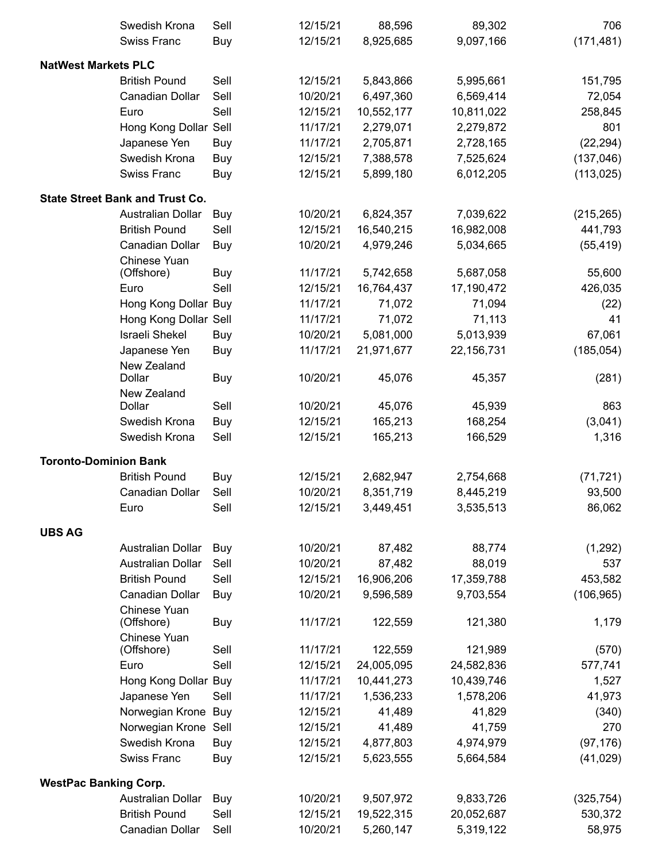|                              | Swedish Krona                          | Sell       | 12/15/21 | 88,596     | 89,302     | 706        |
|------------------------------|----------------------------------------|------------|----------|------------|------------|------------|
|                              | <b>Swiss Franc</b>                     | Buy        | 12/15/21 | 8,925,685  | 9,097,166  | (171, 481) |
| <b>NatWest Markets PLC</b>   |                                        |            |          |            |            |            |
|                              | <b>British Pound</b>                   | Sell       | 12/15/21 | 5,843,866  | 5,995,661  | 151,795    |
|                              | Canadian Dollar                        | Sell       | 10/20/21 | 6,497,360  | 6,569,414  | 72,054     |
|                              | Euro                                   | Sell       | 12/15/21 | 10,552,177 | 10,811,022 | 258,845    |
|                              | Hong Kong Dollar Sell                  |            | 11/17/21 | 2,279,071  | 2,279,872  | 801        |
|                              | Japanese Yen                           | Buy        | 11/17/21 | 2,705,871  | 2,728,165  | (22, 294)  |
|                              | Swedish Krona                          | Buy        | 12/15/21 | 7,388,578  | 7,525,624  | (137, 046) |
|                              | Swiss Franc                            | Buy        | 12/15/21 | 5,899,180  | 6,012,205  | (113, 025) |
|                              | <b>State Street Bank and Trust Co.</b> |            |          |            |            |            |
|                              | <b>Australian Dollar</b>               | Buy        | 10/20/21 | 6,824,357  | 7,039,622  | (215, 265) |
|                              | <b>British Pound</b>                   | Sell       | 12/15/21 | 16,540,215 | 16,982,008 | 441,793    |
|                              | Canadian Dollar                        | Buy        | 10/20/21 | 4,979,246  | 5,034,665  | (55, 419)  |
|                              | Chinese Yuan                           |            |          |            |            |            |
|                              | (Offshore)                             | <b>Buy</b> | 11/17/21 | 5,742,658  | 5,687,058  | 55,600     |
|                              | Euro                                   | Sell       | 12/15/21 | 16,764,437 | 17,190,472 | 426,035    |
|                              | Hong Kong Dollar Buy                   |            | 11/17/21 | 71,072     | 71,094     | (22)       |
|                              | Hong Kong Dollar Sell                  |            | 11/17/21 | 71,072     | 71,113     | 41         |
|                              | <b>Israeli Shekel</b>                  | Buy        | 10/20/21 | 5,081,000  | 5,013,939  | 67,061     |
|                              | Japanese Yen                           | Buy        | 11/17/21 | 21,971,677 | 22,156,731 | (185, 054) |
|                              | New Zealand<br>Dollar                  |            | 10/20/21 |            |            |            |
|                              |                                        | Buy        |          | 45,076     | 45,357     | (281)      |
|                              | New Zealand<br>Dollar                  | Sell       | 10/20/21 | 45,076     | 45,939     | 863        |
|                              | Swedish Krona                          | Buy        | 12/15/21 | 165,213    | 168,254    | (3,041)    |
|                              | Swedish Krona                          | Sell       | 12/15/21 | 165,213    | 166,529    | 1,316      |
| <b>Toronto-Dominion Bank</b> |                                        |            |          |            |            |            |
|                              | <b>British Pound</b>                   | Buy        | 12/15/21 | 2,682,947  | 2,754,668  | (71, 721)  |
|                              | Canadian Dollar                        | Sell       | 10/20/21 | 8,351,719  | 8,445,219  | 93,500     |
|                              | Euro                                   | Sell       | 12/15/21 | 3,449,451  | 3,535,513  | 86,062     |
|                              |                                        |            |          |            |            |            |
| <b>UBS AG</b>                | Australian Dollar                      | Buy        | 10/20/21 | 87,482     | 88,774     | (1, 292)   |
|                              | <b>Australian Dollar</b>               | Sell       | 10/20/21 | 87,482     | 88,019     | 537        |
|                              | <b>British Pound</b>                   | Sell       | 12/15/21 | 16,906,206 | 17,359,788 | 453,582    |
|                              | Canadian Dollar                        | Buy        | 10/20/21 | 9,596,589  | 9,703,554  | (106, 965) |
|                              | Chinese Yuan                           |            |          |            |            |            |
|                              | (Offshore)                             | Buy        | 11/17/21 | 122,559    | 121,380    | 1,179      |
|                              | Chinese Yuan                           |            |          |            |            |            |
|                              | (Offshore)                             | Sell       | 11/17/21 | 122,559    | 121,989    | (570)      |
|                              | Euro                                   | Sell       | 12/15/21 | 24,005,095 | 24,582,836 | 577,741    |
|                              | Hong Kong Dollar Buy                   |            | 11/17/21 | 10,441,273 | 10,439,746 | 1,527      |
|                              | Japanese Yen                           | Sell       | 11/17/21 | 1,536,233  | 1,578,206  | 41,973     |
|                              | Norwegian Krone Buy                    |            | 12/15/21 | 41,489     | 41,829     | (340)      |
|                              | Norwegian Krone                        | Sell       | 12/15/21 | 41,489     | 41,759     | 270        |
|                              | Swedish Krona                          | Buy        | 12/15/21 | 4,877,803  | 4,974,979  | (97, 176)  |
|                              | Swiss Franc                            | Buy        | 12/15/21 | 5,623,555  | 5,664,584  | (41, 029)  |
| <b>WestPac Banking Corp.</b> |                                        |            |          |            |            |            |
|                              | Australian Dollar                      | Buy        | 10/20/21 | 9,507,972  | 9,833,726  | (325, 754) |
|                              | <b>British Pound</b>                   | Sell       | 12/15/21 | 19,522,315 | 20,052,687 | 530,372    |
|                              | Canadian Dollar                        | Sell       | 10/20/21 | 5,260,147  | 5,319,122  | 58,975     |
|                              |                                        |            |          |            |            |            |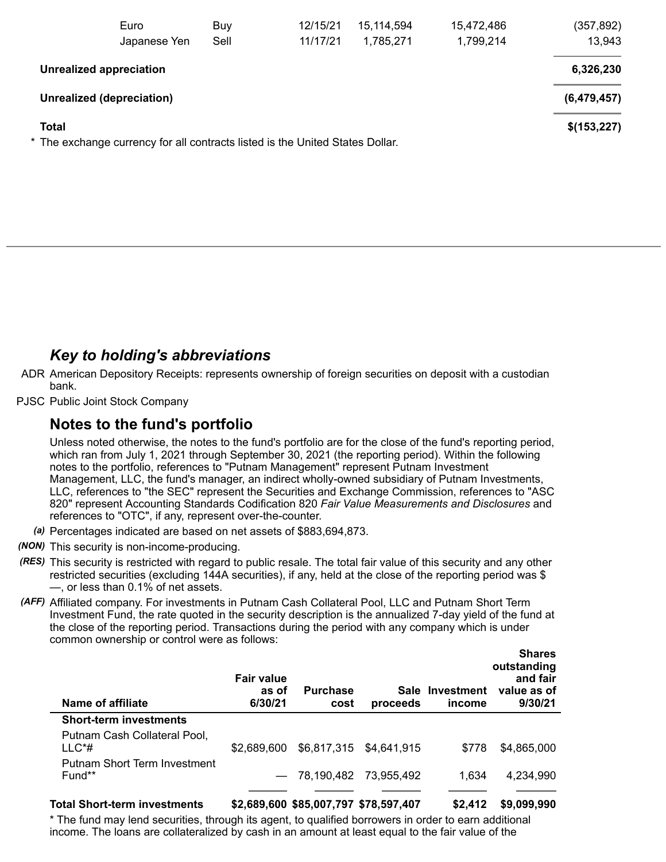|              | Euro<br>Japanese Yen                                                          | Buy<br>Sell | 12/15/21<br>11/17/21 | 15, 114, 594<br>1,785,271 | 15,472,486<br>1,799,214 | (357, 892)<br>13,943 |
|--------------|-------------------------------------------------------------------------------|-------------|----------------------|---------------------------|-------------------------|----------------------|
|              | <b>Unrealized appreciation</b>                                                |             |                      |                           |                         | 6,326,230            |
|              | Unrealized (depreciation)                                                     |             |                      |                           |                         | (6,479,457)          |
| <b>Total</b> | * The exchange currency for all contracts listed is the United States Dollar. |             |                      |                           |                         | \$(153,227)          |

# *Key to holding's abbreviations*

- ADR American Depository Receipts: represents ownership of foreign securities on deposit with a custodian bank.
- PJSC Public Joint Stock Company

## **Notes to the fund's portfolio**

Unless noted otherwise, the notes to the fund's portfolio are for the close of the fund's reporting period, which ran from July 1, 2021 through September 30, 2021 (the reporting period). Within the following notes to the portfolio, references to "Putnam Management" represent Putnam Investment Management, LLC, the fund's manager, an indirect wholly-owned subsidiary of Putnam Investments, LLC, references to "the SEC" represent the Securities and Exchange Commission, references to "ASC 820" represent Accounting Standards Codification 820 *Fair Value Measurements and Disclosures* and references to "OTC", if any, represent over-the-counter.

- *(a)* Percentages indicated are based on net assets of \$883,694,873.
- *(NON)* This security is non-income-producing.
- *(RES)* This security is restricted with regard to public resale. The total fair value of this security and any other restricted securities (excluding 144A securities), if any, held at the close of the reporting period was \$ —, or less than 0.1% of net assets.
- *(AFF)* Affiliated company. For investments in Putnam Cash Collateral Pool, LLC and Putnam Short Term Investment Fund, the rate quoted in the security description is the annualized 7-day yield of the fund at the close of the reporting period. Transactions during the period with any company which is under common ownership or control were as follows:

| Name of affiliate                        | <b>Fair value</b><br>as of<br>6/30/21 | <b>Purchase</b><br>cost | proceeds                | Sale Investment<br>income | <b>Shares</b><br>outstanding<br>and fair<br>value as of<br>9/30/21 |
|------------------------------------------|---------------------------------------|-------------------------|-------------------------|---------------------------|--------------------------------------------------------------------|
| <b>Short-term investments</b>            |                                       |                         |                         |                           |                                                                    |
| Putnam Cash Collateral Pool,<br>$LLC^*#$ | \$2,689,600                           |                         | \$6,817,315 \$4,641,915 | \$778                     | \$4,865,000                                                        |
| Putnam Short Term Investment<br>Fund**   |                                       | $-78,190,482$           | 73.955.492              | 1.634                     | 4,234,990                                                          |
|                                          |                                       |                         |                         |                           |                                                                    |

#### **Total Short-term investments \$2,689,600 \$85,007,797 \$78,597,407 \$2,412 \$9,099,990**

**Shares**

\* The fund may lend securities, through its agent, to qualified borrowers in order to earn additional income. The loans are collateralized by cash in an amount at least equal to the fair value of the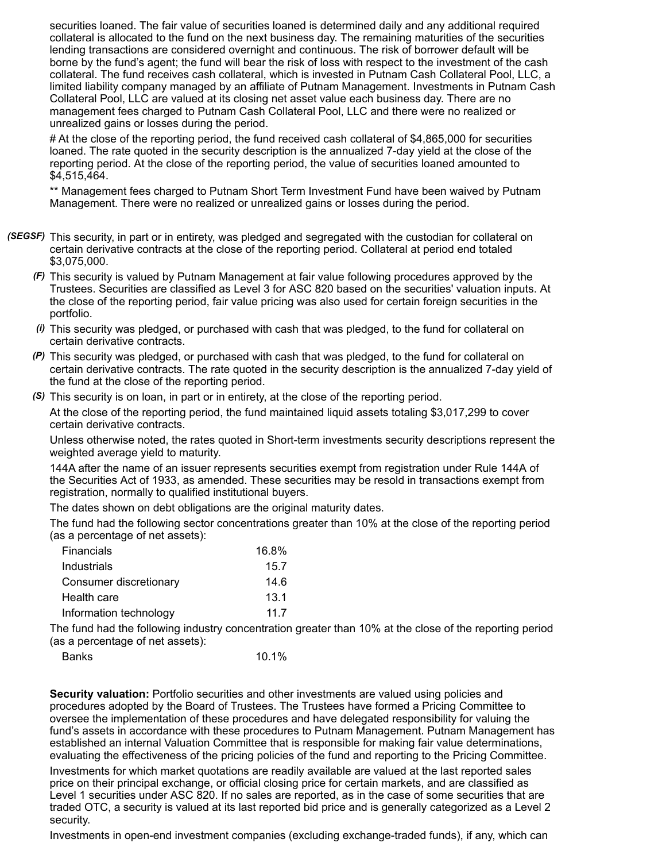securities loaned. The fair value of securities loaned is determined daily and any additional required collateral is allocated to the fund on the next business day. The remaining maturities of the securities lending transactions are considered overnight and continuous. The risk of borrower default will be borne by the fund's agent; the fund will bear the risk of loss with respect to the investment of the cash collateral. The fund receives cash collateral, which is invested in Putnam Cash Collateral Pool, LLC, a limited liability company managed by an affiliate of Putnam Management. Investments in Putnam Cash Collateral Pool, LLC are valued at its closing net asset value each business day. There are no management fees charged to Putnam Cash Collateral Pool, LLC and there were no realized or unrealized gains or losses during the period.

# At the close of the reporting period, the fund received cash collateral of \$4,865,000 for securities loaned. The rate quoted in the security description is the annualized 7-day yield at the close of the reporting period. At the close of the reporting period, the value of securities loaned amounted to \$4,515,464.

\*\* Management fees charged to Putnam Short Term Investment Fund have been waived by Putnam Management. There were no realized or unrealized gains or losses during the period.

- *(SEGSF)* This security, in part or in entirety, was pledged and segregated with the custodian for collateral on certain derivative contracts at the close of the reporting period. Collateral at period end totaled \$3,075,000.
	- *(F)* This security is valued by Putnam Management at fair value following procedures approved by the Trustees. Securities are classified as Level 3 for ASC 820 based on the securities' valuation inputs. At the close of the reporting period, fair value pricing was also used for certain foreign securities in the portfolio.
	- *(i)* This security was pledged, or purchased with cash that was pledged, to the fund for collateral on certain derivative contracts.
	- *(P)* This security was pledged, or purchased with cash that was pledged, to the fund for collateral on certain derivative contracts. The rate quoted in the security description is the annualized 7-day yield of the fund at the close of the reporting period.
	- *(S)* This security is on loan, in part or in entirety, at the close of the reporting period.

At the close of the reporting period, the fund maintained liquid assets totaling \$3,017,299 to cover certain derivative contracts.

Unless otherwise noted, the rates quoted in Short-term investments security descriptions represent the weighted average yield to maturity.

144A after the name of an issuer represents securities exempt from registration under Rule 144A of the Securities Act of 1933, as amended. These securities may be resold in transactions exempt from registration, normally to qualified institutional buyers.

The dates shown on debt obligations are the original maturity dates.

The fund had the following sector concentrations greater than 10% at the close of the reporting period (as a percentage of net assets):

| Financials             | 16.8% |
|------------------------|-------|
| Industrials            | 15.7  |
| Consumer discretionary | 14.6  |
| Health care            | 13.1  |
| Information technology | 11 7  |

The fund had the following industry concentration greater than 10% at the close of the reporting period (as a percentage of net assets):

| Banks | 10.1% |
|-------|-------|
|-------|-------|

**Security valuation:** Portfolio securities and other investments are valued using policies and procedures adopted by the Board of Trustees. The Trustees have formed a Pricing Committee to oversee the implementation of these procedures and have delegated responsibility for valuing the fund's assets in accordance with these procedures to Putnam Management. Putnam Management has established an internal Valuation Committee that is responsible for making fair value determinations, evaluating the effectiveness of the pricing policies of the fund and reporting to the Pricing Committee.

Investments for which market quotations are readily available are valued at the last reported sales price on their principal exchange, or official closing price for certain markets, and are classified as Level 1 securities under ASC 820. If no sales are reported, as in the case of some securities that are traded OTC, a security is valued at its last reported bid price and is generally categorized as a Level 2 security.

Investments in open-end investment companies (excluding exchange-traded funds), if any, which can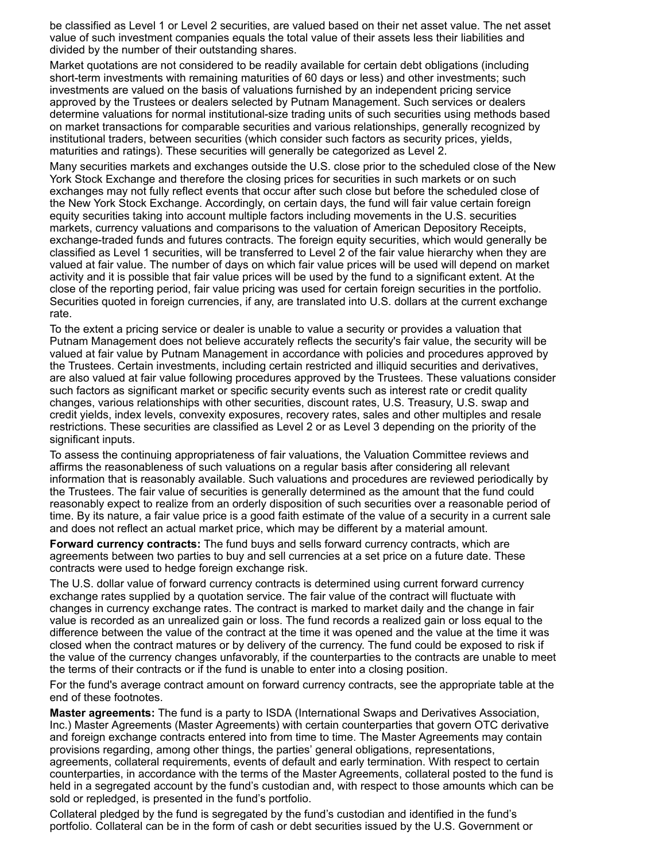be classified as Level 1 or Level 2 securities, are valued based on their net asset value. The net asset value of such investment companies equals the total value of their assets less their liabilities and divided by the number of their outstanding shares.

Market quotations are not considered to be readily available for certain debt obligations (including short-term investments with remaining maturities of 60 days or less) and other investments; such investments are valued on the basis of valuations furnished by an independent pricing service approved by the Trustees or dealers selected by Putnam Management. Such services or dealers determine valuations for normal institutional-size trading units of such securities using methods based on market transactions for comparable securities and various relationships, generally recognized by institutional traders, between securities (which consider such factors as security prices, yields, maturities and ratings). These securities will generally be categorized as Level 2.

Many securities markets and exchanges outside the U.S. close prior to the scheduled close of the New York Stock Exchange and therefore the closing prices for securities in such markets or on such exchanges may not fully reflect events that occur after such close but before the scheduled close of the New York Stock Exchange. Accordingly, on certain days, the fund will fair value certain foreign equity securities taking into account multiple factors including movements in the U.S. securities markets, currency valuations and comparisons to the valuation of American Depository Receipts, exchange-traded funds and futures contracts. The foreign equity securities, which would generally be classified as Level 1 securities, will be transferred to Level 2 of the fair value hierarchy when they are valued at fair value. The number of days on which fair value prices will be used will depend on market activity and it is possible that fair value prices will be used by the fund to a significant extent. At the close of the reporting period, fair value pricing was used for certain foreign securities in the portfolio. Securities quoted in foreign currencies, if any, are translated into U.S. dollars at the current exchange rate.

To the extent a pricing service or dealer is unable to value a security or provides a valuation that Putnam Management does not believe accurately reflects the security's fair value, the security will be valued at fair value by Putnam Management in accordance with policies and procedures approved by the Trustees. Certain investments, including certain restricted and illiquid securities and derivatives, are also valued at fair value following procedures approved by the Trustees. These valuations consider such factors as significant market or specific security events such as interest rate or credit quality changes, various relationships with other securities, discount rates, U.S. Treasury, U.S. swap and credit yields, index levels, convexity exposures, recovery rates, sales and other multiples and resale restrictions. These securities are classified as Level 2 or as Level 3 depending on the priority of the significant inputs.

To assess the continuing appropriateness of fair valuations, the Valuation Committee reviews and affirms the reasonableness of such valuations on a regular basis after considering all relevant information that is reasonably available. Such valuations and procedures are reviewed periodically by the Trustees. The fair value of securities is generally determined as the amount that the fund could reasonably expect to realize from an orderly disposition of such securities over a reasonable period of time. By its nature, a fair value price is a good faith estimate of the value of a security in a current sale and does not reflect an actual market price, which may be different by a material amount.

**Forward currency contracts:** The fund buys and sells forward currency contracts, which are agreements between two parties to buy and sell currencies at a set price on a future date. These contracts were used to hedge foreign exchange risk.

The U.S. dollar value of forward currency contracts is determined using current forward currency exchange rates supplied by a quotation service. The fair value of the contract will fluctuate with changes in currency exchange rates. The contract is marked to market daily and the change in fair value is recorded as an unrealized gain or loss. The fund records a realized gain or loss equal to the difference between the value of the contract at the time it was opened and the value at the time it was closed when the contract matures or by delivery of the currency. The fund could be exposed to risk if the value of the currency changes unfavorably, if the counterparties to the contracts are unable to meet the terms of their contracts or if the fund is unable to enter into a closing position.

For the fund's average contract amount on forward currency contracts, see the appropriate table at the end of these footnotes.

**Master agreements:** The fund is a party to ISDA (International Swaps and Derivatives Association, Inc.) Master Agreements (Master Agreements) with certain counterparties that govern OTC derivative and foreign exchange contracts entered into from time to time. The Master Agreements may contain provisions regarding, among other things, the parties' general obligations, representations, agreements, collateral requirements, events of default and early termination. With respect to certain counterparties, in accordance with the terms of the Master Agreements, collateral posted to the fund is held in a segregated account by the fund's custodian and, with respect to those amounts which can be sold or repledged, is presented in the fund's portfolio.

Collateral pledged by the fund is segregated by the fund's custodian and identified in the fund's portfolio. Collateral can be in the form of cash or debt securities issued by the U.S. Government or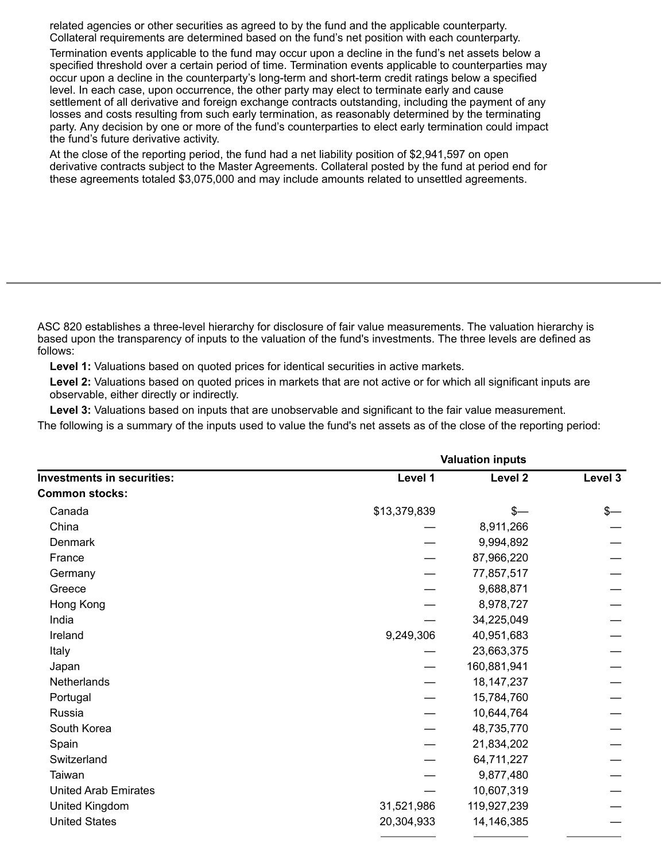related agencies or other securities as agreed to by the fund and the applicable counterparty. Collateral requirements are determined based on the fund's net position with each counterparty.

Termination events applicable to the fund may occur upon a decline in the fund's net assets below a specified threshold over a certain period of time. Termination events applicable to counterparties may occur upon a decline in the counterparty's long-term and short-term credit ratings below a specified level. In each case, upon occurrence, the other party may elect to terminate early and cause settlement of all derivative and foreign exchange contracts outstanding, including the payment of any losses and costs resulting from such early termination, as reasonably determined by the terminating party. Any decision by one or more of the fund's counterparties to elect early termination could impact the fund's future derivative activity.

At the close of the reporting period, the fund had a net liability position of \$2,941,597 on open derivative contracts subject to the Master Agreements. Collateral posted by the fund at period end for these agreements totaled \$3,075,000 and may include amounts related to unsettled agreements.

ASC 820 establishes a three-level hierarchy for disclosure of fair value measurements. The valuation hierarchy is based upon the transparency of inputs to the valuation of the fund's investments. The three levels are defined as follows:

**Level 1:** Valuations based on quoted prices for identical securities in active markets.

**Level 2:** Valuations based on quoted prices in markets that are not active or for which all significant inputs are observable, either directly or indirectly.

**Level 3:** Valuations based on inputs that are unobservable and significant to the fair value measurement.

The following is a summary of the inputs used to value the fund's net assets as of the close of the reporting period:

| <b>Investments in securities:</b> | <b>Valuation inputs</b> |              |               |
|-----------------------------------|-------------------------|--------------|---------------|
|                                   | Level 1                 | Level 2      | Level 3       |
| <b>Common stocks:</b>             |                         |              |               |
| Canada                            | \$13,379,839            | $s-$         | $\frac{2}{3}$ |
| China                             |                         | 8,911,266    |               |
| Denmark                           |                         | 9,994,892    |               |
| France                            |                         | 87,966,220   |               |
| Germany                           |                         | 77,857,517   |               |
| Greece                            |                         | 9,688,871    |               |
| Hong Kong                         |                         | 8,978,727    |               |
| India                             |                         | 34,225,049   |               |
| Ireland                           | 9,249,306               | 40,951,683   |               |
| Italy                             |                         | 23,663,375   |               |
| Japan                             |                         | 160,881,941  |               |
| Netherlands                       |                         | 18, 147, 237 |               |
| Portugal                          |                         | 15,784,760   |               |
| Russia                            |                         | 10,644,764   |               |
| South Korea                       |                         | 48,735,770   |               |
| Spain                             |                         | 21,834,202   |               |
| Switzerland                       |                         | 64,711,227   |               |
| Taiwan                            |                         | 9,877,480    |               |
| <b>United Arab Emirates</b>       |                         | 10,607,319   |               |
| United Kingdom                    | 31,521,986              | 119,927,239  |               |
| <b>United States</b>              | 20,304,933              | 14,146,385   |               |